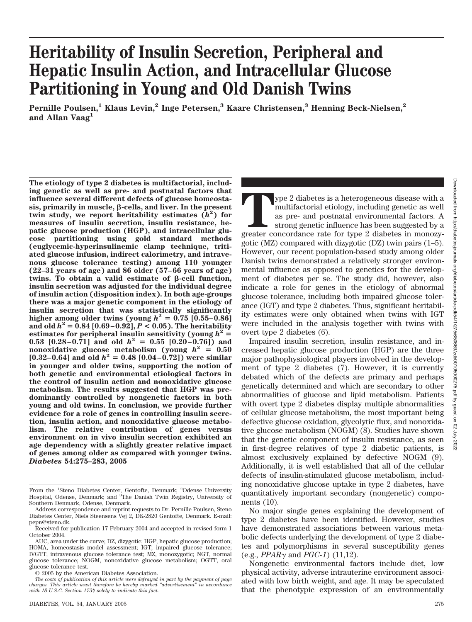# **Heritability of Insulin Secretion, Peripheral and Hepatic Insulin Action, and Intracellular Glucose Partitioning in Young and Old Danish Twins**

**Pernille Poulsen,1 Klaus Levin,2 Inge Petersen,3 Kaare Christensen,3 Henning Beck-Nielsen,2 and Allan Vaag1**

**The etiology of type 2 diabetes is multifactorial, including genetic as well as pre- and postnatal factors that influence several different defects of glucose homeostasis, primarily in muscle, -cells, and liver. In the present** twin study, we report heritability estimates  $(h^2)$  for **measures of insulin secretion, insulin resistance, hepatic glucose production (HGP), and intracellular glucose partitioning using gold standard methods (euglycemic-hyperinsulinemic clamp technique, tritiated glucose infusion, indirect calorimetry, and intravenous glucose tolerance testing) among 110 younger (22–31 years of age) and 86 older (57– 66 years of age)**  $twins.$  To obtain a valid estimate of  $\beta$ -cell function, **insulin secretion was adjusted for the individual degree of insulin action (disposition index). In both age-groups there was a major genetic component in the etiology of insulin secretion that was statistically significantly higher among older twins (young**  $h^2 = 0.75$  [0.55–0.86] and old  $h^2 = 0.84 [0.69 - 0.92], P < 0.05$ ). The heritability estimates for peripheral insulin sensitivity (young  $h^2 =$ 0.53  $[0.28-0.71]$  and old  $h^2 = 0.55$   $[0.20-0.76]$  and nonoxidative glucose metabolism (young  $h^2 = 0.50$  $[0.32-0.64]$  and old  $h^2 = 0.48$   $[0.04-0.72]$ ) were similar **in younger and older twins, supporting the notion of both genetic and environmental etiological factors in the control of insulin action and nonoxidative glucose metabolism. The results suggested that HGP was predominantly controlled by nongenetic factors in both young and old twins. In conclusion, we provide further evidence for a role of genes in controlling insulin secretion, insulin action, and nonoxidative glucose metabolism. The relative contribution of genes versus environment on in vivo insulin secretion exhibited an age dependency with a slightly greater relative impact of genes among older as compared with younger twins.** *Diabetes* **54:275–283, 2005**

© 2005 by the American Diabetes Association.

**The 2** diabetes is a heterogeneous disease with a multifactorial etiology, including genetic as well as pre- and postnatal environmental factors. A strong genetic influence has been suggested by a greater concordance rate multifactorial etiology, including genetic as well as pre- and postnatal environmental factors. A strong genetic influence has been suggested by a gotic (MZ) compared with dizygotic (DZ) twin pairs (1–5). However, our recent population-based study among older Danish twins demonstrated a relatively stronger environmental influence as opposed to genetics for the development of diabetes per se. The study did, however, also indicate a role for genes in the etiology of abnormal glucose tolerance, including both impaired glucose tolerance (IGT) and type 2 diabetes. Thus, significant heritability estimates were only obtained when twins with IGT were included in the analysis together with twins with overt type 2 diabetes (6).

Impaired insulin secretion, insulin resistance, and increased hepatic glucose production (HGP) are the three major pathophysiological players involved in the development of type 2 diabetes (7). However, it is currently debated which of the defects are primary and perhaps genetically determined and which are secondary to other abnormalities of glucose and lipid metabolism. Patients with overt type 2 diabetes display multiple abnormalities of cellular glucose metabolism, the most important being defective glucose oxidation, glycolytic flux, and nonoxidative glucose metabolism (NOGM) (8). Studies have shown that the genetic component of insulin resistance, as seen in first-degree relatives of type 2 diabetic patients, is almost exclusively explained by defective NOGM (9). Additionally, it is well established that all of the cellular defects of insulin-stimulated glucose metabolism, including nonoxidative glucose uptake in type 2 diabetes, have quantitatively important secondary (nongenetic) components (10).

No major single genes explaining the development of type 2 diabetes have been identified. However, studies have demonstrated associations between various metabolic defects underlying the development of type 2 diabetes and polymorphisms in several susceptibility genes (e.g., *PPAR* $\gamma$  and *PGC-1*) (11,12).

Nongenetic environmental factors include diet, low physical activity, adverse intrauterine environment associated with low birth weight, and age. It may be speculated that the phenotypic expression of an environmentally

From the <sup>1</sup>Steno Diabetes Center, Gentofte, Denmark; <sup>2</sup>Odense University<br>Hospital, Odense, Denmark; and <sup>3</sup>The Danish Twin Registry, University of Southern Denmark, Odense, Denmark.

Address correspondence and reprint requests to Dr. Pernille Poulsen, Steno Diabetes Center, Niels Steensens Vej 2, DK-2820 Gentofte, Denmark. E-mail: pepn@steno.dk.

Received for publication 17 February 2004 and accepted in revised form 1 October 2004.

AUC, area under the curve; DZ, dizygotic; HGP, hepatic glucose production; HOMA, homeostasis model assessment; IGT, impaired glucose tolerance; IVGTT, intravenous glucose tolerance test; MZ, monozygotic; NGT, normal glucose tolerance; NOGM, nonoxidative glucose metabolism; OGTT, oral glucose tolerance test.

*The costs of publication of this article were defrayed in part by the payment of page charges. This article must therefore be hereby marked "advertisement" in accordance with 18 U.S.C. Section 1734 solely to indicate this fact.*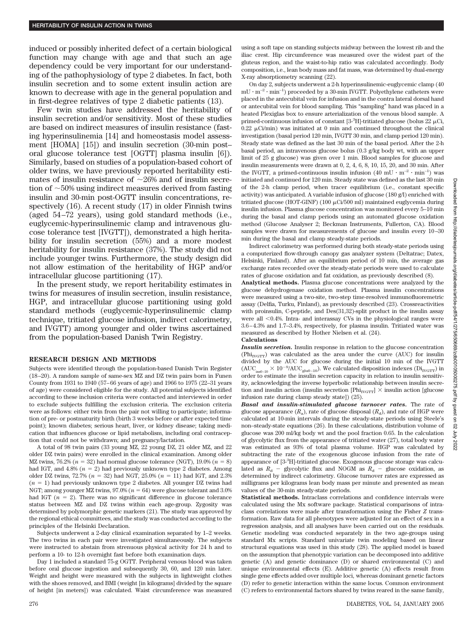induced or possibly inherited defect of a certain biological function may change with age and that such an age dependency could be very important for our understanding of the pathophysiology of type 2 diabetes. In fact, both insulin secretion and to some extent insulin action are known to decrease with age in the general population and in first-degree relatives of type 2 diabetic patients (13).

Few twin studies have addressed the heritability of insulin secretion and/or sensitivity. Most of these studies are based on indirect measures of insulin resistance (fasting hyperinsulinemia [14] and homeostasis model assessment [HOMA] [15]) and insulin secretion (30-min post– oral glucose tolerance test [OGTT] plasma insulin [6]). Similarly, based on studies of a population-based cohort of older twins, we have previously reported heritability estimates of insulin resistance of  $\sim$ 26% and of insulin secretion of  $\sim$ 50% using indirect measures derived from fasting insulin and 30-min post-OGTT insulin concentrations, respectively (16). A recent study (17) in older Finnish twins (aged 54 –72 years), using gold standard methods (i.e., euglycemic-hyperinsulinemic clamp and intravenous glucose tolerance test [IVGTT]), demonstrated a high heritability for insulin secretion (55%) and a more modest heritability for insulin resistance (37%). The study did not include younger twins. Furthermore, the study design did not allow estimation of the heritability of HGP and/or intracellular glucose partitioning (17).

In the present study, we report heritability estimates in twins for measures of insulin secretion, insulin resistance, HGP, and intracellular glucose partitioning using gold standard methods (euglycemic-hyperinsulinemic clamp technique, tritiated glucose infusion, indirect calorimetry, and IVGTT) among younger and older twins ascertained from the population-based Danish Twin Registry.

#### **RESEARCH DESIGN AND METHODS**

Subjects were identified through the population-based Danish Twin Register (18 –20). A random sample of same-sex MZ and DZ twin pairs born in Funen County from 1931 to 1940 (57– 66 years of age) and 1966 to 1975 (22–31 years of age) were considered eligible for the study. All potential subjects identified according to these inclusion criteria were contacted and interviewed in order to exclude subjects fulfilling the exclusion criteria. The exclusion criteria were as follows: either twin from the pair not willing to participate; information of pre- or postmaturity birth (birth 3 weeks before or after expected time point); known diabetes; serious heart, liver, or kidney disease; taking medication that influences glucose or lipid metabolism, including oral contraception that could not be withdrawn; and pregnancy/lactation.

A total of 98 twin pairs (33 young MZ, 22 young DZ, 21 older MZ, and 22 older DZ twin pairs) were enrolled in the clinical examination. Among older  $MZ$  twins,  $76.2\%$   $(n = 32)$  had normal glucose tolerance (NGT),  $19.0\%$   $(n = 8)$ had IGT, and  $4.8\%$   $(n = 2)$  had previously unknown type 2 diabetes. Among older DZ twins,  $72.7\%$   $(n = 32)$  had NGT,  $25.0\%$   $(n = 11)$  had IGT, and  $2.3\%$  $(n = 1)$  had previously unknown type 2 diabetes. All younger DZ twins had NGT; among younger MZ twins,  $97.0\%$   $(n = 64)$  were glucose tolerant and  $3.0\%$ had IGT  $(n = 2)$ . There was no significant difference in glucose tolerance status between MZ and DZ twins within each age-group. Zygosity was determined by polymorphic genetic markers (21). The study was approved by the regional ethical committees, and the study was conducted according to the principles of the Helsinki Declaration.

Subjects underwent a 2-day clinical examination separated by 1–2 weeks. The two twins in each pair were investigated simultaneously. The subjects were instructed to abstain from strenuous physical activity for 24 h and to perform a 10- to 12-h overnight fast before both examination days.

Day 1 included a standard 75-g OGTT. Peripheral venous blood was taken before oral glucose ingestion and subsequently 30, 60, and 120 min later. Weight and height were measured with the subjects in lightweight clothes with the shoes removed, and BMI (weight [in kilograms] divided by the square of height [in meters]) was calculated. Waist circumference was measured using a soft tape on standing subjects midway between the lowest rib and the iliac crest. Hip circumference was measured over the widest part of the gluteus region, and the waist-to-hip ratio was calculated accordingly. Body composition, i.e., lean body mass and fat mass, was determined by dual-energy X-ray absorptiometry scanning (22).

On day 2, subjects underwent a 2-h hyperinsulinemic-euglycemic clamp (40  $mU \cdot m^{-2} \cdot min^{-1}$  proceeded by a 30-min IVGTT. Polyethylene catheters were placed in the antecubital vein for infusion and in the contra lateral dorsal hand or antecubital vein for blood sampling. This "sampling" hand was placed in a heated Plexiglas box to ensure arterialization of the venous blood sample. A primed-continuous infusion of constant  $[3\text{-}^{3}H]$ -tritiated glucose (bolus 22  $\mu$ Ci,  $0.22 \mu$ Ci/min) was initiated at 0 min and continued throughout the clinical investigation (basal period 120 min, IVGTT 30 min, and clamp period 120 min). Steady state was defined as the last 30 min of the basal period. After the 2-h basal period, an intravenous glucose bolus (0.3 g/kg body wt, with an upper limit of 25 g glucose) was given over 1 min. Blood samples for glucose and insulin measurements were drawn at 0, 2, 4, 6, 8, 10, 15, 20, and 30 min. After the IVGTT, a primed-continuous insulin infusion  $(40 \text{ mU} \cdot \text{m}^{-2} \cdot \text{min}^{-1})$  was initiated and continued for 120 min. Steady state was defined as the last 30 min of the 2-h clamp period, when tracer equilibrium (i.e., constant specific activity) was anticipated. A variable infusion of glucose (180 g/l) enriched with tritiated glucose (HOT-GINF) (100  $\mu$ Ci/500 ml) maintained euglycemia during insulin infusion. Plasma glucose concentration was monitored every 5–10 min during the basal and clamp periods using an automated glucose oxidation method (Glucose Analyser 2; Beckman Instruments, Fullerton, CA). Blood samples were drawn for measurements of glucose and insulin every 10-30 min during the basal and clamp steady-state periods.

Indirect calorimetry was performed during both steady-state periods using a computerized flow-through canopy gas analyzer system (Deltatrac; Datex, Helsinki, Finland). After an equilibrium period of 10 min, the average gas exchange rates recorded over the steady-state periods were used to calculate rates of glucose oxidation and fat oxidation, as previously described (8).

**Analytical methods.** Plasma glucose concentrations were analyzed by the glucose dehydrogenase oxidation method. Plasma insulin concentrations were measured using a two-site, two-step time-resolved immunofluoremetric assay (Delfia, Turku, Finland), as previously described (23). Crossreactivities with proinsulin, C-peptide, and Des(31,32)-split product in the insulin assay were all  $< 0.4$ %. Intra- and interassay CVs in the physiological ranges were 3.6 – 4.3% and 1.7–3.4%, respectively, for plasma insulin. Tritiated water was measured as described by Hother Nielsen et al. (24).

### **Calculations**

*Insulin secretion.* Insulin response in relation to the glucose concentration  $(Phi_{\text{IVGTT}})$  was calculated as the area under the curve (AUC) for insulin divided by the AUC for glucose during the initial 10 min of the IVGTT (AUC<sub>ins0-10</sub>  $\times$  10<sup>-9</sup>/AUC<sub>glu0-10</sub>). We calculated disposition indexes (Di<sub>IVGTT</sub>) in order to estimate the insulin secretion capacity in relation to insulin sensitivity, acknowledging the inverse hyperbolic relationship between insulin secretion and insulin action (insulin secretion [Phi $_{\text{IVGTT}}$ ]  $\times$  insulin action [glucose infusion rate during clamp steady state]) (25).

*Basal and insulin-stimulated glucose turnover rates.* The rate of glucose appearance  $(R_a)$ , rate of glucose disposal  $(R_d)$ , and rate of HGP were calculated at 10-min intervals during the steady-state periods using Steele's non–steady-state equations (26). In these calculations, distribution volume of glucose was 200 ml/kg body wt and the pool fraction 0.65. In the calculation of glycolytic flux from the appearance of tritiated water (27), total body water was estimated as 93% of total plasma volume. HGP was calculated by subtracting the rate of the exogenous glucose infusion from the rate of appearance of [3-<sup>3</sup> H]-tritiated glucose. Exogenous glucose storage was calculated as  $R_d$  – glycolytic flux and NOGM as  $R_d$  – glucose oxidation, as determined by indirect calorimetry. Glucose turnover rates are expressed as milligrams per kilograms lean body mass per minute and presented as mean values of the 30-min steady-state periods.

**Statistical methods.** Intraclass correlations and confidence intervals were calculated using the Mx software package. Statistical comparisons of intraclass correlations were made after transformation using the Fisher *Z* transformation. Raw data for all phenotypes were adjusted for an effect of sex in a regression analysis, and all analyses have been carried out on the residuals. Genetic modeling was conducted separately in the two age-groups using standard Mx scripts. Standard univariate twin modeling based on linear structural equations was used in this study (28). The applied model is based on the assumption that phenotypic variation can be decomposed into additive genetic (A) and genetic dominance (D) or shared environmental (C) and unique environmental effects (E). Additive genetic (A) effects result from single gene effects added over multiple loci, whereas dominant genetic factors (D) refer to genetic interaction within the same locus. Common environment (C) refers to environmental factors shared by twins reared in the same family,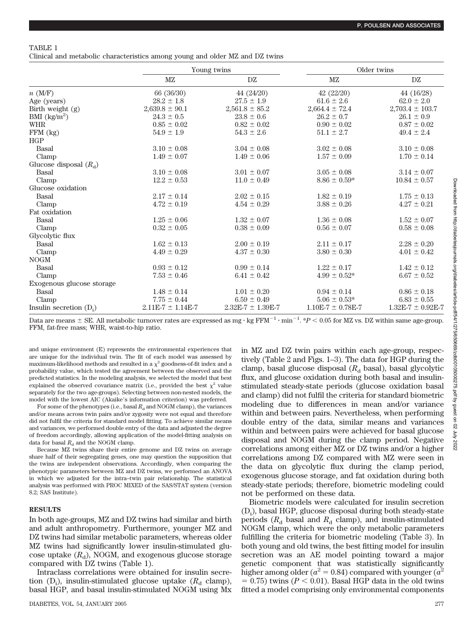Clinical and metabolic characteristics among young and older MZ and DZ twins

|                           | Young twins           |                       | Older twins           |                       |  |
|---------------------------|-----------------------|-----------------------|-----------------------|-----------------------|--|
|                           | MZ                    | DZ                    | MZ                    | DZ                    |  |
| $n$ (M/F)                 | 66 (36/30)            | 44 (24/20)            | 42 (22/20)            | 44 (16/28)            |  |
| Age (years)               | $28.2 \pm 1.8$        | $27.5 \pm 1.9$        | $61.6 \pm 2.6$        | $62.0 \pm 2.0$        |  |
| Birth weight (g)          | $2,639.8 \pm 90.1$    | $2,561.8 \pm 85.2$    | $2,664.4 \pm 72.4$    | $2,703.4 \pm 103.7$   |  |
| BMI $(kg/m2)$             | $24.3 \pm 0.5$        | $23.8 \pm 0.6$        | $26.2 \pm 0.7$        | $26.1 \pm 0.9$        |  |
| <b>WHR</b>                | $0.85 \pm 0.02$       | $0.82 \pm 0.02$       | $0.90 \pm 0.02$       | $0.87 \pm 0.02$       |  |
| $FFM$ $(kg)$              | $54.9 \pm 1.9$        | $54.3 \pm 2.6$        | $51.1 \pm 2.7$        | $49.4 \pm 2.4$        |  |
| <b>HGP</b>                |                       |                       |                       |                       |  |
| Basal                     | $3.10 \pm 0.08$       | $3.04 \pm 0.08$       | $3.02 \pm 0.08$       | $3.10 \pm 0.08$       |  |
| Clamp                     | $1.49 \pm 0.07$       | $1.49 \pm 0.06$       | $1.57 \pm 0.09$       | $1.70 \pm 0.14$       |  |
| Glucose disposal $(R_d)$  |                       |                       |                       |                       |  |
| Basal                     | $3.10 \pm 0.08$       | $3.01 \pm 0.07$       | $3.05 \pm 0.08$       | $3.14 \pm 0.07$       |  |
| Clamp                     | $12.2 \pm 0.53$       | $11.0 \pm 0.49$       | $8.86 \pm 0.59*$      | $10.84 \pm 0.57$      |  |
| Glucose oxidation         |                       |                       |                       |                       |  |
| Basal                     | $2.17 \pm 0.14$       | $2.02 \pm 0.15$       | $1.82 \pm 0.19$       | $1.75 \pm 0.13$       |  |
| Clamp                     | $4.72 \pm 0.19$       | $4.54 \pm 0.29$       | $3.88 \pm 0.26$       | $4.27 \pm 0.21$       |  |
| Fat oxidation             |                       |                       |                       |                       |  |
| Basal                     | $1.25 \pm 0.06$       | $1.32 \pm 0.07$       | $1.36 \pm 0.08$       | $1.52 \pm 0.07$       |  |
| Clamp                     | $0.32 \pm 0.05$       | $0.38 \pm 0.09$       | $0.56 \pm 0.07$       | $0.58 \pm 0.08$       |  |
| Glycolytic flux           |                       |                       |                       |                       |  |
| Basal                     | $1.62 \pm 0.13$       | $2.00 \pm 0.19$       | $2.11 \pm 0.17$       | $2.28 \pm 0.20$       |  |
| Clamp                     | $4.49 \pm 0.29$       | $4.37 \pm 0.30$       | $3.80 \pm 0.30$       | $4.01 \pm 0.42$       |  |
| <b>NOGM</b>               |                       |                       |                       |                       |  |
| Basal                     | $0.93 \pm 0.12$       | $0.99 \pm 0.14$       | $1.22 \pm 0.17$       | $1.42 \pm 0.12$       |  |
| Clamp                     | $7.53 \pm 0.46$       | $6.41 \pm 0.42$       | $4.99 \pm 0.52^*$     | $6.67 \pm 0.52$       |  |
| Exogenous glucose storage |                       |                       |                       |                       |  |
| Basal                     | $1.48 \pm 0.14$       | $1.01 \pm 0.20$       | $0.94 \pm 0.14$       | $0.86 \pm 0.18$       |  |
| Clamp                     | $7.75 \pm 0.44$       | $6.59 \pm 0.49$       | $5.06 \pm 0.53*$      | $6.83 \pm 0.55$       |  |
| Insulin secretion $(D_i)$ | $2.11E-7 \pm 1.14E-7$ | $2.32E-7 \pm 1.39E-7$ | $1.10E-7 \pm 0.78E-7$ | $1.32E-7 \pm 0.92E-7$ |  |

Data are means  $\pm$  SE. All metabolic turnover rates are expressed as mg  $\cdot$  kg FFM $^{-1}\cdot$   $\min^{-1}$ .  $\ast$ P  $<$  0.05 for MZ vs. DZ within same age-group. FFM, fat-free mass; WHR, waist-to-hip ratio.

and unique environment (E) represents the environmental experiences that are unique for the individual twin. The fit of each model was assessed by maximum-likelihood methods and resulted in a  $\chi^2$  goodness-of-fit index and a probability value, which tested the agreement between the observed and the predicted statistics. In the modeling analysis, we selected the model that best explained the observed covariance matrix (i.e., provided the best  $\chi^2$  value separately for the two age-groups). Selecting between non-nested models, the model with the lowest AIC (Akaike's information criterion) was preferred.

For some of the phenotypes (i.e., basal  $R$ , and NOGM clamp), the variances and/or means across twin pairs and/or zygosity were not equal and therefore did not fulfil the criteria for standard model fitting. To achieve similar means and variances, we performed double entry of the data and adjusted the degree of freedom accordingly, allowing application of the model-fitting analysis on data for basal  $R_d$  and the NOGM clamp.

Because MZ twins share their entire genome and DZ twins on average share half of their segregating genes, one may question the supposition that the twins are independent observations. Accordingly, when comparing the phenotypic parameters between MZ and DZ twins, we performed an ANOVA in which we adjusted for the intra–twin pair relationship. The statistical analysis was performed with PROC MIXED of the SAS/STAT system (version 8.2; SAS Institute).

### **RESULTS**

In both age-groups, MZ and DZ twins had similar and birth and adult anthropometry. Furthermore, younger MZ and DZ twins had similar metabolic parameters, whereas older MZ twins had significantly lower insulin-stimulated glucose uptake  $(R_d)$ , NOGM, and exogenous glucose storage compared with DZ twins (Table 1).

Intraclass correlations were obtained for insulin secretion (D<sub>i</sub>), insulin-stimulated glucose uptake ( $R_d$  clamp), basal HGP, and basal insulin-stimulated NOGM using Mx in MZ and DZ twin pairs within each age-group, respectively (Table 2 and Figs. 1–3). The data for HGP during the clamp, basal glucose disposal ( $R_d$  basal), basal glycolytic flux, and glucose oxidation during both basal and insulinstimulated steady-state periods (glucose oxidation basal and clamp) did not fulfil the criteria for standard biometric modeling due to differences in mean and/or variance within and between pairs. Nevertheless, when performing double entry of the data, similar means and variances within and between pairs were achieved for basal glucose disposal and NOGM during the clamp period. Negative correlations among either MZ or DZ twins and/or a higher correlations among DZ compared with MZ were seen in the data on glycolytic flux during the clamp period, exogenous glucose storage, and fat oxidation during both steady-state periods; therefore, biometric modeling could not be performed on these data.

Biometric models were calculated for insulin secretion (D<sub>i</sub>), basal HGP, glucose disposal during both steady-state periods  $(R_d$  basal and  $R_d$  clamp), and insulin-stimulated NOGM clamp, which were the only metabolic parameters fulfilling the criteria for biometric modeling (Table 3). In both young and old twins, the best fitting model for insulin secretion was an AE model pointing toward a major genetic component that was statistically significantly higher among older ( $a^2 = 0.84$ ) compared with younger ( $a^2$ )  $= 0.75$ ) twins ( $P < 0.01$ ). Basal HGP data in the old twins fitted a model comprising only environmental components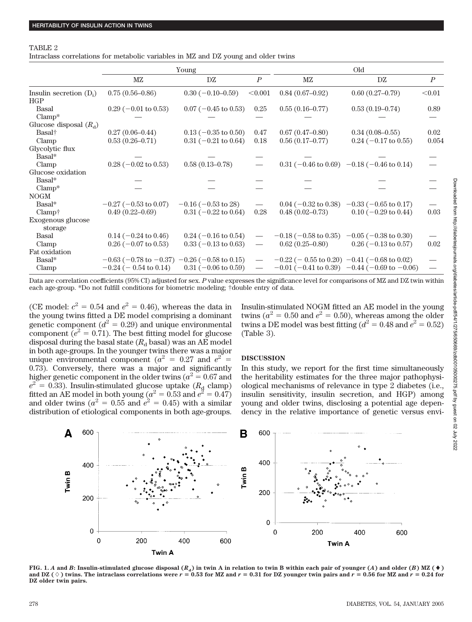#### TABLE 2

Intraclass correlations for metabolic variables in MZ and DZ young and older twins

|                                  | Young                                          |                          | Old                           |                            |                                                                |                  |
|----------------------------------|------------------------------------------------|--------------------------|-------------------------------|----------------------------|----------------------------------------------------------------|------------------|
|                                  | MZ                                             | DZ                       | $\boldsymbol{P}$              | MZ                         | DZ                                                             | $\boldsymbol{P}$ |
| Insulin secretion $(D_i)$<br>HGP | $0.75(0.56-0.86)$                              | $0.30(-0.10-0.59)$       | < 0.001                       | $0.84(0.67-0.92)$          | $0.60(0.27-0.79)$                                              | < 0.01           |
| Basal<br>$Clamp*$                | $0.29$ (-0.01 to 0.53)                         | $0.07$ (-0.45 to 0.53)   | 0.25                          | $0.55(0.16-0.77)$          | $0.53(0.19-0.74)$                                              | 0.89             |
| Glucose disposal $(R_{d})$       |                                                |                          |                               |                            |                                                                |                  |
| Basal <sup>†</sup>               | $0.27(0.06 - 0.44)$                            | $0.13$ (-0.35 to 0.50)   | 0.47                          | $0.67(0.47-0.80)$          | $0.34(0.08-0.55)$                                              | 0.02             |
| Clamp                            | $0.53(0.26 - 0.71)$                            | $0.31$ (-0.21 to 0.64)   | 0.18                          | $0.56(0.17-0.77)$          | $0.24$ (-0.17 to 0.55)                                         | 0.054            |
| Glycolytic flux                  |                                                |                          |                               |                            |                                                                |                  |
| Basal*                           |                                                |                          |                               |                            |                                                                |                  |
| Clamp                            | $0.28$ (-0.02 to 0.53)                         | $0.58(0.13 - 0.78)$      |                               |                            | $0.31 (-0.46 \text{ to } 0.69) -0.18 (-0.46 \text{ to } 0.14)$ |                  |
| Glucose oxidation                |                                                |                          |                               |                            |                                                                |                  |
| Basal*                           |                                                |                          |                               |                            |                                                                |                  |
| $Clamp*$                         |                                                |                          |                               |                            |                                                                |                  |
| <b>NOGM</b>                      |                                                |                          |                               |                            |                                                                |                  |
| Basal*                           | $-0.27$ ( $-0.53$ to 0.07)                     | $-0.16$ ( $-0.53$ to 28) | $\overbrace{\phantom{aaaaa}}$ | $0.04$ ( $-0.32$ to 0.38)  | $-0.33$ ( $-0.65$ to 0.17)                                     |                  |
| $Clamp^+$                        | $0.49(0.22 - 0.69)$                            | $0.31$ (-0.22 to 0.64)   | 0.28                          | $0.48(0.02 - 0.73)$        | $0.10$ (-0.29 to 0.44)                                         | 0.03             |
| Exogenous glucose                |                                                |                          |                               |                            |                                                                |                  |
| storage                          |                                                |                          |                               |                            |                                                                |                  |
| Basal                            | $0.14$ (-0.24 to 0.46)                         | $0.24$ (-0.16 to 0.54)   |                               | $-0.18$ ( $-0.58$ to 0.35) | $-0.05$ ( $-0.38$ to 0.30)                                     |                  |
| Clamp                            | $0.26$ (-0.07 to 0.53)                         | $0.33$ (-0.13 to 0.63)   | $\overline{\phantom{m}}$      | $0.62(0.25-0.80)$          | $0.26$ (-0.13 to 0.57)                                         | 0.02             |
| Fat oxidation                    |                                                |                          |                               |                            |                                                                |                  |
| Basal*                           | $-0.63$ (-0.78 to -0.37) -0.26 (-0.58 to 0.15) |                          |                               |                            | $-0.22$ (- 0.55 to 0.20) -0.41 (-0.68 to 0.02)                 |                  |
| Clamp                            | $-0.24$ ( $-0.54$ to 0.14)                     | $0.31$ (-0.06 to 0.59)   |                               |                            | $-0.01$ (-0.41 to 0.39) -0.44 (-0.69 to -0.06)                 |                  |

Data are correlation coefficients (95% CI) adjusted for sex. *P* value expresses the significance level for comparisons of MZ and DZ twin within each age-group. \*Do not fulfill conditions for biometric modeling; †double entry of data.

(CE model:  $c^2 = 0.54$  and  $e^2 = 0.46$ ), whereas the data in the young twins fitted a DE model comprising a dominant genetic component  $(d^2 = 0.29)$  and unique environmental component  $\mathcal{C}^2 = 0.71$ . The best fitting model for glucose disposal during the basal state  $(R_d$  basal) was an AE model in both age-groups. In the younger twins there was a major unique environmental component ( $a^2 = 0.27$  and  $e^{2} =$ 0.73). Conversely, there was a major and significantly higher genetic component in the older twins ( $a^2 = 0.67$  and  $e^{2} = 0.33$ ). Insulin-stimulated glucose uptake ( $R<sub>d</sub>$  clamp) fitted an AE model in both young ( $a^2 = 0.53$  and  $e^2 = 0.47$ ) and older twins  $(a^2 = 0.55$  and  $e^2 = 0.45$ ) with a similar distribution of etiological components in both age-groups.

Insulin-stimulated NOGM fitted an AE model in the young twins ( $a^2 = 0.50$  and  $e^2 = 0.50$ ), whereas among the older twins a DE model was best fitting  $(d^2 = 0.48$  and  $e^2 = 0.52)$ (Table 3).

## **DISCUSSION**

In this study, we report for the first time simultaneously the heritability estimates for the three major pathophysiological mechanisms of relevance in type 2 diabetes (i.e., insulin sensitivity, insulin secretion, and HGP) among young and older twins, disclosing a potential age dependency in the relative importance of genetic versus envi-



FIG. 1. A and B: Insulin-stimulated glucose disposal ( $R_{\rm d}$ ) in twin A in relation to twin B within each pair of younger (A) and older (B) MZ (  $\blacklozenge$ and DZ (  $\Diamond$  ) twins. The intraclass correlations were  $r = 0.53$  for MZ and  $r = 0.31$  for DZ younger twin pairs and  $r = 0.56$  for MZ and  $r = 0.24$  for **DZ older twin pairs.**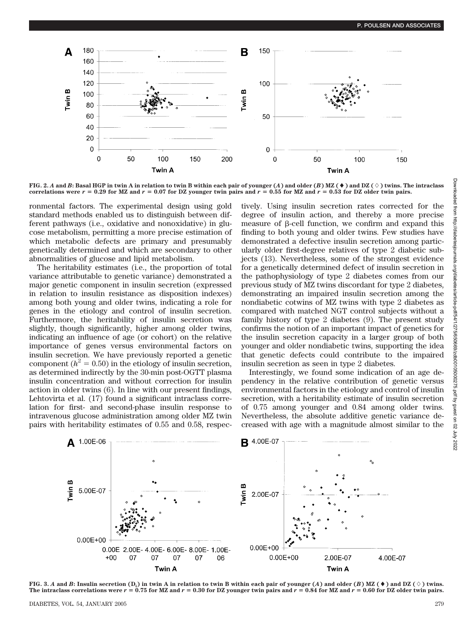

**FIG. 2.** *A* **and** *B***: Basal HGP in twin A in relation to twin B within each pair of younger (***A***) and older (***B***) MZ (**-**) and DZ () twins. The intraclass** correlations were  $r = 0.29$  for MZ and  $r = 0.07$  for DZ younger twin pairs and  $r = 0.55$  for MZ and  $r = 0.53$  for DZ older twin pairs.

ronmental factors. The experimental design using gold standard methods enabled us to distinguish between different pathways (i.e., oxidative and nonoxidative) in glucose metabolism, permitting a more precise estimation of which metabolic defects are primary and presumably genetically determined and which are secondary to other abnormalities of glucose and lipid metabolism.

The heritability estimates (i.e., the proportion of total variance attributable to genetic variance) demonstrated a major genetic component in insulin secretion (expressed in relation to insulin resistance as disposition indexes) among both young and older twins, indicating a role for genes in the etiology and control of insulin secretion. Furthermore, the heritability of insulin secretion was slightly, though significantly, higher among older twins, indicating an influence of age (or cohort) on the relative importance of genes versus environmental factors on insulin secretion. We have previously reported a genetic component ( $h^2 = 0.50$ ) in the etiology of insulin secretion, as determined indirectly by the 30-min post-OGTT plasma insulin concentration and without correction for insulin action in older twins (6). In line with our present findings, Lehtovirta et al. (17) found a significant intraclass correlation for first- and second-phase insulin response to intravenous glucose administration among older MZ twin pairs with heritability estimates of 0.55 and 0.58, respectively. Using insulin secretion rates corrected for the degree of insulin action, and thereby a more precise measure of  $\beta$ -cell function, we confirm and expand this finding to both young and older twins. Few studies have demonstrated a defective insulin secretion among particularly older first-degree relatives of type 2 diabetic subjects (13). Nevertheless, some of the strongest evidence for a genetically determined defect of insulin secretion in the pathophysiology of type 2 diabetes comes from our previous study of MZ twins discordant for type 2 diabetes, demonstrating an impaired insulin secretion among the nondiabetic cotwins of MZ twins with type 2 diabetes as compared with matched NGT control subjects without a family history of type 2 diabetes (9). The present study confirms the notion of an important impact of genetics for the insulin secretion capacity in a larger group of both younger and older nondiabetic twins, supporting the idea that genetic defects could contribute to the impaired insulin secretion as seen in type 2 diabetes.

Interestingly, we found some indication of an age dependency in the relative contribution of genetic versus environmental factors in the etiology and control of insulin secretion, with a heritability estimate of insulin secretion of 0.75 among younger and 0.84 among older twins. Nevertheless, the absolute additive genetic variance decreased with age with a magnitude almost similar to the



FIG. 3. A and B: Insulin secretion (D<sub>i</sub>) in twin A in relation to twin B within each pair of younger (A) and older (B) MZ (  $\blacklozenge$  ) and DZ (  $\diamond$  ) twins. The intraclass correlations were  $r = 0.75$  for MZ and  $r = 0.30$  for DZ younger twin pairs and  $r = 0.84$  for MZ and  $r = 0.60$  for DZ older twin pairs.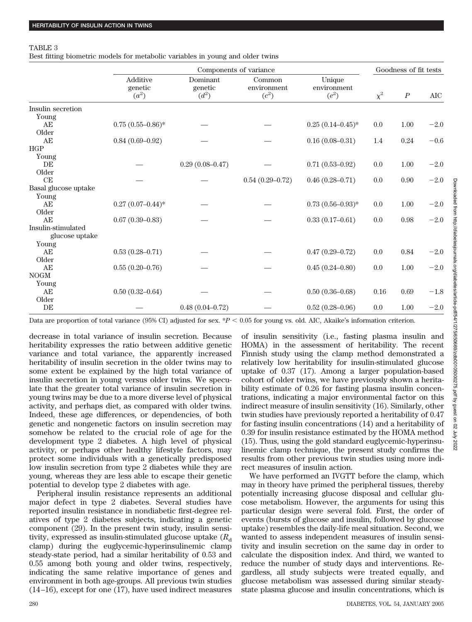#### TABLE 3

Best fitting biometric models for metabolic variables in young and older twins

|                      | Components of variance         |                                |                                  |                                  |          | Goodness of fit tests |          |  |
|----------------------|--------------------------------|--------------------------------|----------------------------------|----------------------------------|----------|-----------------------|----------|--|
|                      | Additive<br>genetic<br>$(a^2)$ | Dominant<br>genetic<br>$(d^2)$ | Common<br>environment<br>$(c^2)$ | Unique<br>environment<br>$(e^2)$ | $\chi^2$ | $\boldsymbol{P}$      | AIC      |  |
| Insulin secretion    |                                |                                |                                  |                                  |          |                       |          |  |
| Young                |                                |                                |                                  |                                  |          |                       |          |  |
| AE                   | $0.75(0.55-0.86)$ *            |                                |                                  | $0.25(0.14-0.45)$ *              | 0.0      | 1.00                  | $-2.0$   |  |
| Older                |                                |                                |                                  |                                  |          |                       |          |  |
| AE                   | $0.84(0.69 - 0.92)$            |                                |                                  | $0.16(0.08 - 0.31)$              | 1.4      | 0.24                  | $\!-0.6$ |  |
| HGP                  |                                |                                |                                  |                                  |          |                       |          |  |
| Young                |                                |                                |                                  |                                  |          |                       |          |  |
| DE                   |                                | $0.29(0.08 - 0.47)$            |                                  | $0.71(0.53 - 0.92)$              | 0.0      | 1.00                  | $-2.0$   |  |
| Older                |                                |                                |                                  |                                  |          |                       |          |  |
| <b>CE</b>            |                                |                                | $0.54(0.29 - 0.72)$              | $0.46(0.28 - 0.71)$              | 0.0      | 0.90                  | $-2.0$   |  |
| Basal glucose uptake |                                |                                |                                  |                                  |          |                       |          |  |
| Young                |                                |                                |                                  |                                  |          |                       |          |  |
| AE                   | $0.27(0.07 - 0.44)^*$          |                                |                                  | $0.73(0.56-0.93)*$               | 0.0      | 1.00                  | $-2.0$   |  |
| Older                |                                |                                |                                  |                                  |          |                       |          |  |
| AE                   | $0.67(0.39 - 0.83)$            |                                |                                  | $0.33(0.17-0.61)$                | 0.0      | 0.98                  | $-2.0$   |  |
| Insulin-stimulated   |                                |                                |                                  |                                  |          |                       |          |  |
| glucose uptake       |                                |                                |                                  |                                  |          |                       |          |  |
| Young                |                                |                                |                                  |                                  |          |                       |          |  |
| AE                   | $0.53(0.28 - 0.71)$            |                                |                                  | $0.47(0.29 - 0.72)$              | 0.0      | $0.84\,$              | $-2.0$   |  |
| Older                |                                |                                |                                  |                                  |          |                       |          |  |
| AE                   | $0.55(0.20 - 0.76)$            |                                |                                  | $0.45(0.24 - 0.80)$              | 0.0      | 1.00                  | $-2.0$   |  |
| <b>NOGM</b>          |                                |                                |                                  |                                  |          |                       |          |  |
| Young                |                                |                                |                                  |                                  |          |                       |          |  |
| AE                   | $0.50(0.32 - 0.64)$            |                                |                                  | $0.50(0.36 - 0.68)$              | $0.16\,$ | $0.69\,$              | $-1.8$   |  |
| Older                |                                |                                |                                  |                                  |          |                       |          |  |
| DE                   |                                | $0.48(0.04 - 0.72)$            |                                  | $0.52(0.28 - 0.96)$              | 0.0      | 1.00                  | $-2.0$   |  |

Data are proportion of total variance (95% CI) adjusted for sex.  $*P < 0.05$  for young vs. old. AIC, Akaike's information criterion.

decrease in total variance of insulin secretion. Because heritability expresses the ratio between additive genetic variance and total variance, the apparently increased heritability of insulin secretion in the older twins may to some extent be explained by the high total variance of insulin secretion in young versus older twins. We speculate that the greater total variance of insulin secretion in young twins may be due to a more diverse level of physical activity, and perhaps diet, as compared with older twins. Indeed, these age differences, or dependencies, of both genetic and nongenetic factors on insulin secretion may somehow be related to the crucial role of age for the development type 2 diabetes. A high level of physical activity, or perhaps other healthy lifestyle factors, may protect some individuals with a genetically predisposed low insulin secretion from type 2 diabetes while they are young, whereas they are less able to escape their genetic potential to develop type 2 diabetes with age.

Peripheral insulin resistance represents an additional major defect in type 2 diabetes. Several studies have reported insulin resistance in nondiabetic first-degree relatives of type 2 diabetes subjects, indicating a genetic component (29). In the present twin study, insulin sensitivity, expressed as insulin-stimulated glucose uptake  $(R_d)$ clamp) during the euglycemic-hyperinsulinemic clamp steady-state period, had a similar heritability of 0.53 and 0.55 among both young and older twins, respectively, indicating the same relative importance of genes and environment in both age-groups. All previous twin studies (14 –16), except for one (17), have used indirect measures of insulin sensitivity (i.e., fasting plasma insulin and HOMA) in the assessment of heritability. The recent Finnish study using the clamp method demonstrated a relatively low heritability for insulin-stimulated glucose uptake of 0.37 (17). Among a larger population-based cohort of older twins, we have previously shown a heritability estimate of 0.26 for fasting plasma insulin concentrations, indicating a major environmental factor on this indirect measure of insulin sensitivity (16). Similarly, other twin studies have previously reported a heritability of 0.47 for fasting insulin concentrations (14) and a heritability of 0.39 for insulin resistance estimated by the HOMA method (15). Thus, using the gold standard euglycemic-hyperinsulinemic clamp technique, the present study confirms the results from other previous twin studies using more indirect measures of insulin action.

We have performed an IVGTT before the clamp, which may in theory have primed the peripheral tissues, thereby potentially increasing glucose disposal and cellular glucose metabolism. However, the arguments for using this particular design were several fold. First, the order of events (bursts of glucose and insulin, followed by glucose uptake) resembles the daily-life meal situation. Second, we wanted to assess independent measures of insulin sensitivity and insulin secretion on the same day in order to calculate the disposition index. And third, we wanted to reduce the number of study days and interventions. Regardless, all study subjects were treated equally, and glucose metabolism was assessed during similar steadystate plasma glucose and insulin concentrations, which is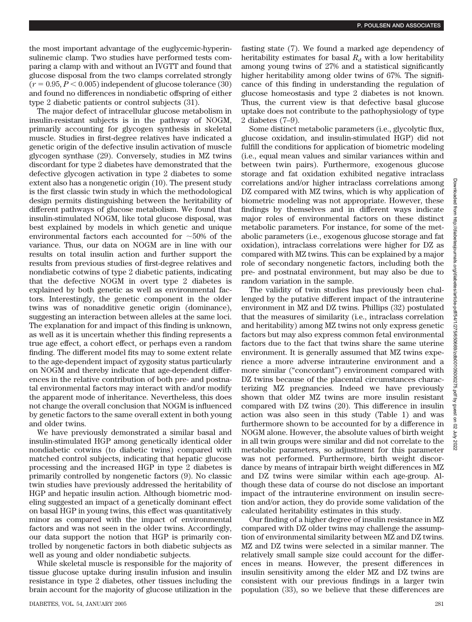the most important advantage of the euglycemic-hyperinsulinemic clamp. Two studies have performed tests comparing a clamp with and without an IVGTT and found that glucose disposal from the two clamps correlated strongly  $(r = 0.95, P < 0.005)$  independent of glucose tolerance (30) and found no differences in nondiabetic offspring of either type 2 diabetic patients or control subjects (31).

The major defect of intracellular glucose metabolism in insulin-resistant subjects is in the pathway of NOGM, primarily accounting for glycogen synthesis in skeletal muscle. Studies in first-degree relatives have indicated a genetic origin of the defective insulin activation of muscle glycogen synthase (29). Conversely, studies in MZ twins discordant for type 2 diabetes have demonstrated that the defective glycogen activation in type 2 diabetes to some extent also has a nongenetic origin (10). The present study is the first classic twin study in which the methodological design permits distinguishing between the heritability of different pathways of glucose metabolism. We found that insulin-stimulated NOGM, like total glucose disposal, was best explained by models in which genetic and unique environmental factors each accounted for  $\sim$ 50% of the variance. Thus, our data on NOGM are in line with our results on total insulin action and further support the results from previous studies of first-degree relatives and nondiabetic cotwins of type 2 diabetic patients, indicating that the defective NOGM in overt type 2 diabetes is explained by both genetic as well as environmental factors. Interestingly, the genetic component in the older twins was of nonadditive genetic origin (dominance), suggesting an interaction between alleles at the same loci. The explanation for and impact of this finding is unknown, as well as it is uncertain whether this finding represents a true age effect, a cohort effect, or perhaps even a random finding. The different model fits may to some extent relate to the age-dependent impact of zygosity status particularly on NOGM and thereby indicate that age-dependent differences in the relative contribution of both pre- and postnatal environmental factors may interact with and/or modify the apparent mode of inheritance. Nevertheless, this does not change the overall conclusion that NOGM is influenced by genetic factors to the same overall extent in both young and older twins.

We have previously demonstrated a similar basal and insulin-stimulated HGP among genetically identical older nondiabetic cotwins (to diabetic twins) compared with matched control subjects, indicating that hepatic glucose processing and the increased HGP in type 2 diabetes is primarily controlled by nongenetic factors (9). No classic twin studies have previously addressed the heritability of HGP and hepatic insulin action. Although biometric modeling suggested an impact of a genetically dominant effect on basal HGP in young twins, this effect was quantitatively minor as compared with the impact of environmental factors and was not seen in the older twins. Accordingly, our data support the notion that HGP is primarily controlled by nongenetic factors in both diabetic subjects as well as young and older nondiabetic subjects.

While skeletal muscle is responsible for the majority of tissue glucose uptake during insulin infusion and insulin resistance in type 2 diabetes, other tissues including the brain account for the majority of glucose utilization in the fasting state (7). We found a marked age dependency of heritability estimates for basal  $R_d$  with a low heritability among young twins of 27% and a statistical significantly higher heritability among older twins of 67%. The significance of this finding in understanding the regulation of glucose homeostasis and type 2 diabetes is not known. Thus, the current view is that defective basal glucose uptake does not contribute to the pathophysiology of type 2 diabetes (7–9).

Some distinct metabolic parameters (i.e., glycolytic flux, glucose oxidation, and insulin-stimulated HGP) did not fulfill the conditions for application of biometric modeling (i.e., equal mean values and similar variances within and between twin pairs). Furthermore, exogenous glucose storage and fat oxidation exhibited negative intraclass correlations and/or higher intraclass correlations among DZ compared with MZ twins, which is why application of biometric modeling was not appropriate. However, these findings by themselves and in different ways indicate major roles of environmental factors on these distinct metabolic parameters. For instance, for some of the metabolic parameters (i.e., exogenous glucose storage and fat oxidation), intraclass correlations were higher for DZ as compared with MZ twins. This can be explained by a major role of secondary nongenetic factors, including both the pre- and postnatal environment, but may also be due to random variation in the sample.

The validity of twin studies has previously been challenged by the putative different impact of the intrauterine environment in MZ and DZ twins. Phillips (32) postulated that the measures of similarity (i.e., intraclass correlation and heritability) among MZ twins not only express genetic factors but may also express common fetal environmental factors due to the fact that twins share the same uterine environment. It is generally assumed that MZ twins experience a more adverse intrauterine environment and a more similar ("concordant") environment compared with DZ twins because of the placental circumstances characterizing MZ pregnancies. Indeed we have previously shown that older MZ twins are more insulin resistant compared with DZ twins (20). This difference in insulin action was also seen in this study (Table 1) and was furthermore shown to be accounted for by a difference in NOGM alone. However, the absolute values of birth weight in all twin groups were similar and did not correlate to the metabolic parameters, so adjustment for this parameter was not performed. Furthermore, birth weight discordance by means of intrapair birth weight differences in MZ and DZ twins were similar within each age-group. Although these data of course do not disclose an important impact of the intrauterine environment on insulin secretion and/or action, they do provide some validation of the calculated heritability estimates in this study.

Our finding of a higher degree of insulin resistance in MZ compared with DZ older twins may challenge the assumption of environmental similarity between MZ and DZ twins. MZ and DZ twins were selected in a similar manner. The relatively small sample size could account for the differences in means. However, the present differences in insulin sensitivity among the elder MZ and DZ twins are consistent with our previous findings in a larger twin population (33), so we believe that these differences are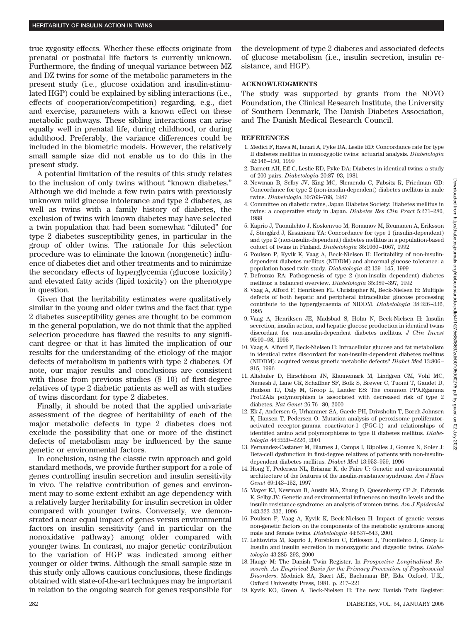true zygosity effects. Whether these effects originate from prenatal or postnatal life factors is currently unknown. Furthermore, the finding of unequal variance between MZ and DZ twins for some of the metabolic parameters in the present study (i.e., glucose oxidation and insulin-stimulated HGP) could be explained by sibling interactions (i.e., effects of cooperation/competition) regarding, e.g., diet and exercise, parameters with a known effect on these metabolic pathways. These sibling interactions can arise equally well in prenatal life, during childhood, or during adulthood. Preferably, the variance differences could be included in the biometric models. However, the relatively small sample size did not enable us to do this in the present study.

A potential limitation of the results of this study relates to the inclusion of only twins without "known diabetes." Although we did include a few twin pairs with previously unknown mild glucose intolerance and type 2 diabetes, as well as twins with a family history of diabetes, the exclusion of twins with known diabetes may have selected a twin population that had been somewhat "diluted" for type 2 diabetes susceptibility genes, in particular in the group of older twins. The rationale for this selection procedure was to eliminate the known (nongenetic) influence of diabetes diet and other treatments and to minimize the secondary effects of hyperglycemia (glucose toxicity) and elevated fatty acids (lipid toxicity) on the phenotype in question.

Given that the heritability estimates were qualitatively similar in the young and older twins and the fact that type 2 diabetes susceptibility genes are thought to be common in the general population, we do not think that the applied selection procedure has flawed the results to any significant degree or that it has limited the implication of our results for the understanding of the etiology of the major defects of metabolism in patients with type 2 diabetes. Of note, our major results and conclusions are consistent with those from previous studies  $(8-10)$  of first-degree relatives of type 2 diabetic patients as well as with studies of twins discordant for type 2 diabetes.

Finally, it should be noted that the applied univariate assessment of the degree of heritability of each of the major metabolic defects in type 2 diabetes does not exclude the possibility that one or more of the distinct defects of metabolism may be influenced by the same genetic or environmental factors.

In conclusion, using the classic twin approach and gold standard methods, we provide further support for a role of genes controlling insulin secretion and insulin sensitivity in vivo. The relative contribution of genes and environment may to some extent exhibit an age dependency with a relatively larger heritability for insulin secretion in older compared with younger twins. Conversely, we demonstrated a near equal impact of genes versus environmental factors on insulin sensitivity (and in particular on the nonoxidative pathway) among older compared with younger twins. In contrast, no major genetic contribution to the variation of HGP was indicated among either younger or older twins. Although the small sample size in this study only allows cautious conclusions, these findings obtained with state-of-the-art techniques may be important in relation to the ongoing search for genes responsible for the development of type 2 diabetes and associated defects of glucose metabolism (i.e., insulin secretion, insulin resistance, and HGP).

#### **ACKNOWLEDGMENTS**

The study was supported by grants from the NOVO Foundation, the Clinical Research Institute, the University of Southern Denmark, The Danish Diabetes Association, and The Danish Medical Research Council.

#### **REFERENCES**

- 1. Medici F, Hawa M, Ianari A, Pyke DA, Leslie RD: Concordance rate for type II diabetes mellitus in monozygotic twins: actuarial analysis. *Diabetologia* 42:146 –150, 1999
- 2. Barnett AH, Eff C, Leslie RD, Pyke DA: Diabetes in identical twins: a study of 200 pairs. *Diabetologia* 20:87–93, 1981
- 3. Newman B, Selby JV, King MC, Slemenda C, Fabsitz R, Friedman GD: Concordance for type 2 (non-insulin-dependent) diabetes mellitus in male twins. *Diabetologia* 30:763–768, 1987
- 4. Committee on diabetic twins, Japan Diabetes Society: Diabetes mellitus in twins: a cooperative study in Japan. *Diabetes Res Clin Pract* 5:271–280, 1988
- 5. Kaprio J, Tuomilehto J, Koskenvuo M, Romanov M, Reunanen A, Eriksson J, Stengård J, Kesäniemi YA: Concordance for type 1 (insulin-dependent) and type 2 (non-insulin-dependent) diabetes mellitus in a population-based cohort of twins in Finland. *Diabetologia* 35:1060 –1067, 1992
- 6. Poulsen P, Kyvik K, Vaag A, Beck-Nielsen H: Heritability of non-insulindependent diabetes mellitus (NIDDM) and abnormal glucose tolerance: a population-based twin study. *Diabetologia* 42:139 –145, 1999
- 7. Defronzo RA: Pathogenesis of type 2 (non-insulin dependent) diabetes mellitus: a balanced overview. *Diabetologia* 35:389 –397, 1992
- 8. Vaag A, Alford F, Henriksen FL, Christopher M, Beck-Nielsen H: Multiple defects of both hepatic and peripheral intracellular glucose processing contribute to the hyperglycaemia of NIDDM. *Diabetologia* 38:326 –336, 1995
- 9. Vaag A, Henriksen JE, Madsbad S, Holm N, Beck-Nielsen H: Insulin secretion, insulin action, and hepatic glucose production in identical twins discordant for non-insulin-dependent diabetes mellitus. *J Clin Invest* 95:90 –98, 1995
- 10. Vaag A, Alford F, Beck-Nielsen H: Intracellular glucose and fat metabolism in identical twins discordant for non-insulin-dependent diabetes mellitus (NIDDM): acquired versus genetic metabolic defects? *Diabet Med* 13:806 – 815, 1996
- 11. Altshuler D, Hirschhorn JN, Klannemark M, Lindgren CM, Vohl MC, Nemesh J, Lane CR, Schaffner SF, Bolk S, Brewer C, Tuomi T, Gaudet D, Hudson TJ, Daly M, Groop L, Lander ES: The common PPARgamma Pro12Ala polymorphism is associated with decreased risk of type 2 diabetes. *Nat Genet* 26:76 – 80, 2000
- 12. Ek J, Andersen G, Urhammer SA, Gaede PH, Drivsholm T, Borch-Johnsen K, Hansen T, Pedersen O: Mutation analysis of peroxisome proliferatoractivated receptor-gamma coactivator-1 (PGC-1) and relationships of identified amino acid polymorphisms to type II diabetes mellitus. *Diabetologia* 44:2220 –2226, 2001
- 13. Fernandez-Castaner M, Biarnes J, Camps I, Ripolles J, Gomez N, Soler J: Beta-cell dysfunction in first-degree relatives of patients with non-insulindependent diabetes mellitus. *Diabet Med* 13:953–959, 1996
- 14. Hong Y, Pedersen NL, Brismar K, de Faire U: Genetic and environmental architecture of the features of the insulin-resistance syndrome. *Am J Hum Genet* 69:143–152, 1997
- 15. Mayer EJ, Newman B, Austin MA, Zhang D, Quesenberry CP Jr, Edwards K, Selby JV: Genetic and environmental influences on insulin levels and the insulin resistance syndrome: an analysis of women twins. *Am J Epidemiol* 143:323–332, 1996
- 16. Poulsen P, Vaag A, Kyvik K, Beck-Nielsen H: Impact of genetic versus non-genetic factors on the components of the metabolic syndrome among male and female twins. *Diabetologia* 44:537–543, 2001
- 17. Lehtovirta M, Kaprio J, Forsblom C, Eriksson J, Tuomilehto J, Groop L: Insulin and insulin secretion in monozygotic and dizygotic twins. *Diabetologia* 43:285–293, 2000
- 18. Hauge M: The Danish Twin Register. In *Prospective Longitudinal Research. An Empirical Basis for the Primary Prevention of Psychosocial Disorders*. Mednick SA, Baert AE, Bachmann BP, Eds. Oxford, U.K., Oxford University Press, 1981, p. 217–221
- 19. Kyvik KO, Green A, Beck-Nielsen H: The new Danish Twin Register: